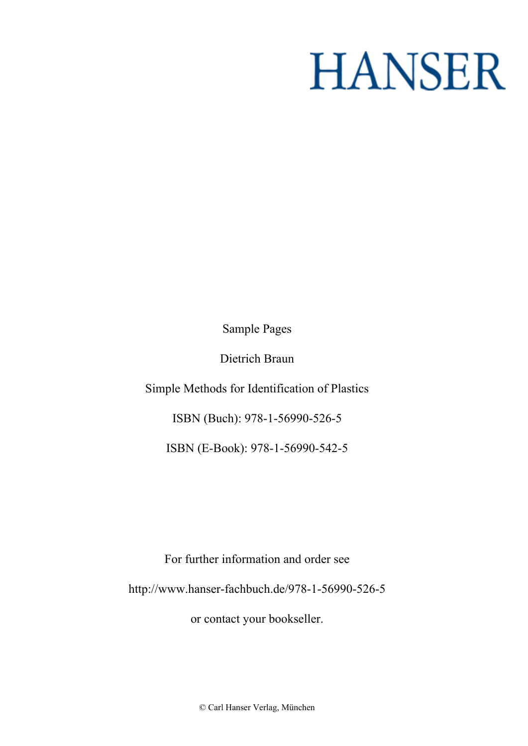# **HANSER**

**Sample Pages**

**Dietrich Braun**

**Simple Methods for Identification of Plastics**

**ISBN (Buch): 978-1-56990-526-5**

**ISBN (E-Book): 978-1-56990-542-5**

**For further information and order see**

**<http://www.hanser-fachbuch.de/978-1-56990-526-5>**

**or contact your bookseller.**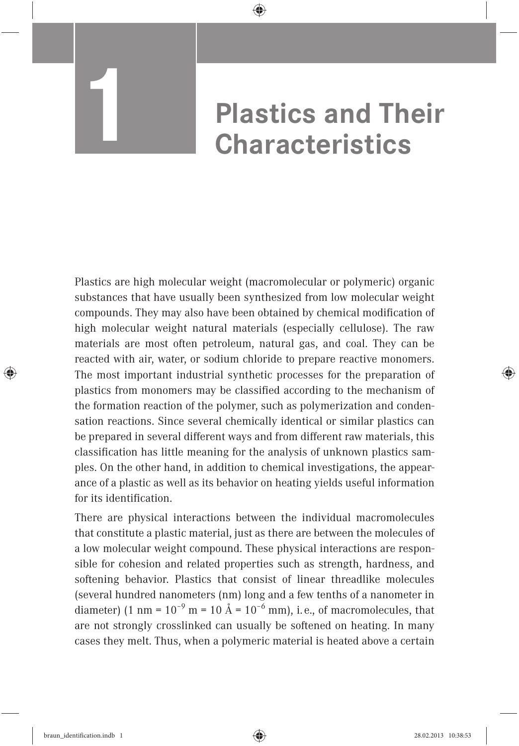## **1 Plastics and Their Characteristics**

 Plastics are high molecular weight (macromolecular or polymeric) organic substances that have usually been synthesized from low molecular weight compounds. They may also have been obtained by chemical modification of high molecular weight natural materials (especially cellulose). The raw materials are most often petroleum, natural gas, and coal. They can be reacted with air, water, or sodium chloride to prepare reactive monomers. The most important industrial synthetic processes for the preparation of plastics from monomers may be classified according to the mechanism of the formation reaction of the polymer, such as polymerization and condensation reactions. Since several chemically identical or similar plastics can be prepared in several different ways and from different raw materials, this classifi cation has little meaning for the analysis of unknown plastics samples. On the other hand, in addition to chemical investigations, the appearance of a plastic as well as its behavior on heating yields useful information for its identification

There are physical interactions between the individual macromolecules that constitute a plastic material, just as there are between the molecules of a low molecular weight compound. These physical interactions are responsible for cohesion and related properties such as strength, hardness, and softening behavior. Plastics that consist of linear threadlike molecules ( several hundred nanometers (nm) long and a few tenths of a nanometer in diameter) (1 nm =  $10^{-9}$  m =  $10 \text{ Å}$  =  $10^{-6}$  mm), i.e., of macromolecules, that are not strongly crosslinked can usually be softened on heating. In many cases they melt. Thus, when a polymeric material is heated above a certain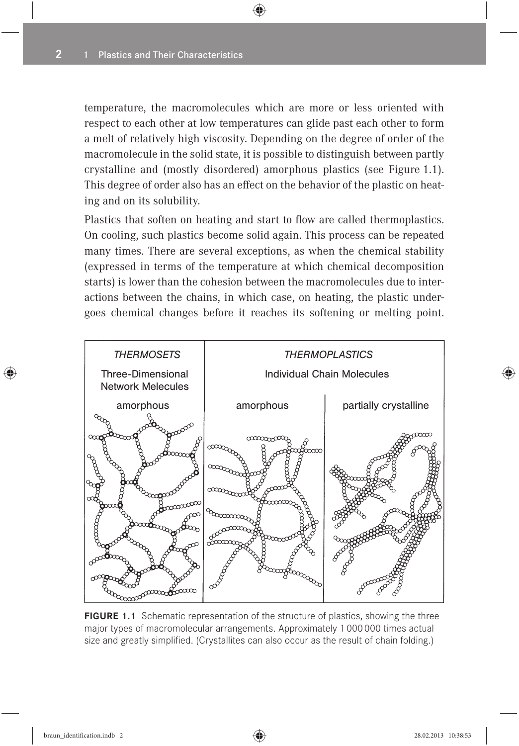temperature, the macromolecules which are more or less oriented with respect to each other at low temperatures can glide past each other to form a melt of relatively high viscosity. Depending on the degree of order of the macromolecule in the solid state, it is possible to distinguish between partly crystalline and (mostly disordered) amorphous plastics (see Figure 1.1). This degree of order also has an effect on the behavior of the plastic on heating and on its solubility.

Plastics that soften on heating and start to flow are called thermoplastics. On cooling, such plastics become solid again. This process can be repeated many times. There are several exceptions, as when the chemical stability (expressed in terms of the temperature at which chemical decomposition starts) is lower than the cohesion between the macromolecules due to interactions between the chains, in which case, on heating, the plastic undergoes chemical changes before it reaches its softening or melting point.



**FIGURE 1.1** Schematic representation of the structure of plastics, showing the three major types of macromolecular arrangements. Approximately 1 000 000 times actual size and greatly simplified. (Crystallites can also occur as the result of chain folding.)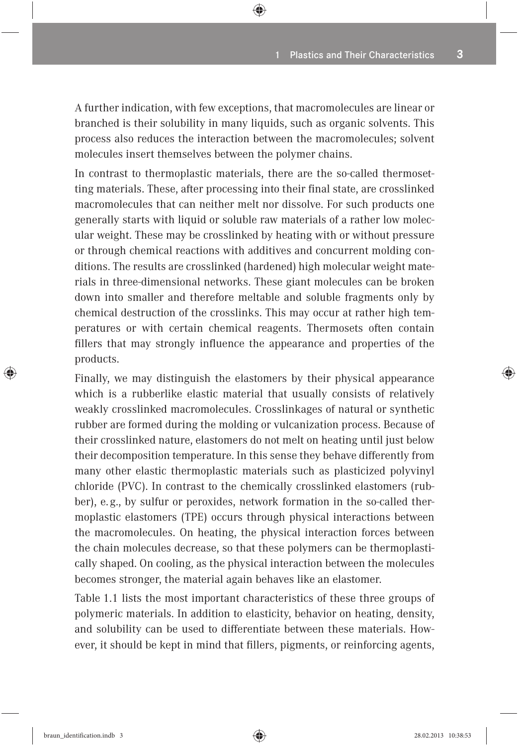A further indication, with few exceptions, that macromolecules are linear or branched is their solubility in many liquids, such as organic solvents. This process also reduces the interaction between the macromolecules; solvent molecules insert themselves between the polymer chains.

In contrast to thermoplastic materials, there are the so-called thermosetting materials. These, after processing into their final state, are crosslinked macromolecules that can neither melt nor dissolve. For such products one generally starts with liquid or soluble raw materials of a rather low molecular weight. These may be crosslinked by heating with or without pressure or through chemical reactions with additives and concurrent molding conditions. The results are crosslinked ( hardened) high molecular weight materials in three-dimensional networks. These giant molecules can be broken down into smaller and therefore meltable and soluble fragments only by chemical destruction of the crosslinks. This may occur at rather high temperatures or with certain chemical reagents. Thermosets often contain fillers that may strongly influence the appearance and properties of the products.

Finally, we may distinguish the elastomers by their physical appearance which is a rubberlike elastic material that usually consists of relatively weakly crosslinked macromolecules. Crosslinkages of natural or synthetic rubber are formed during the molding or vulcanization process. Because of their crosslinked nature, elastomers do not melt on heating until just below their decomposition temperature. In this sense they behave differently from many other elastic thermoplastic materials such as plasticized polyvinyl chloride (PVC). In contrast to the chemically crosslinked elastomers (rubber), e.g., by sulfur or peroxides, network formation in the so-called thermoplastic elastomers (TPE) occurs through physical interactions between the macromolecules. On heating, the physical interaction forces between the chain molecules decrease, so that these polymers can be thermoplastically shaped. On cooling, as the physical interaction between the molecules becomes stronger, the material again behaves like an elastomer.

Table 1.1 lists the most important characteristics of these three groups of polymeric materials. In addition to elasticity, behavior on heating, density, and solubility can be used to differentiate between these materials. However, it should be kept in mind that fillers, pigments, or reinforcing agents,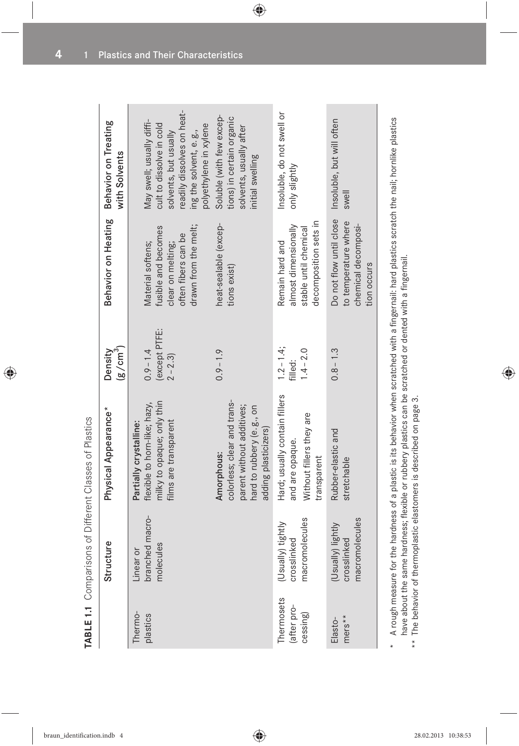| ĥ                   |  |
|---------------------|--|
|                     |  |
|                     |  |
| Ï                   |  |
|                     |  |
|                     |  |
|                     |  |
| ï                   |  |
| Ì<br>١              |  |
|                     |  |
| ١<br>¢              |  |
|                     |  |
| I<br>j              |  |
| ţ<br>١              |  |
| Ó<br>١              |  |
|                     |  |
| I                   |  |
|                     |  |
| $\overline{a}$<br>١ |  |
|                     |  |
| í                   |  |
| ļ                   |  |
|                     |  |
| Ï<br>þ              |  |
| ļ                   |  |
| Ï<br>ı              |  |
| ı                   |  |
| ł                   |  |
|                     |  |
| ١<br>J              |  |
|                     |  |
|                     |  |
| ١<br>Ó              |  |
|                     |  |
| ١<br>١              |  |
|                     |  |
| ļ                   |  |
| ١                   |  |
| i                   |  |
|                     |  |
| i                   |  |
|                     |  |
| I                   |  |
| ļ                   |  |
| I                   |  |
| j                   |  |
|                     |  |
| l                   |  |
| I<br>ı              |  |
|                     |  |
|                     |  |
|                     |  |
|                     |  |
|                     |  |
|                     |  |
|                     |  |
|                     |  |
|                     |  |
|                     |  |
| f                   |  |
|                     |  |
|                     |  |

|                                      |                                                    | TABLE 1.1 Comparisons of Different Classes of Plastics                                                                      |                                           |                                                                                                              |                                                                                                                                                                  |
|--------------------------------------|----------------------------------------------------|-----------------------------------------------------------------------------------------------------------------------------|-------------------------------------------|--------------------------------------------------------------------------------------------------------------|------------------------------------------------------------------------------------------------------------------------------------------------------------------|
|                                      | Structure                                          | Physical Appearance*                                                                                                        | $(\mathrm{g/cm}^3)$<br>Density            | Behavior on Heating Behavior on Treating                                                                     | with Solvents                                                                                                                                                    |
| Thermo-<br>plastics                  | branched macro-<br>molecules<br>inear or           | milky to opaque; only thin<br>flexible to horn-like; hazy,<br>films are transparent<br>Partially crystalline:               | (except PTFE:<br>$0.9 - 1.4$<br>$2 - 2.3$ | drawn from the melt;<br>fusible and becomes<br>often fibers can be<br>Material softens;<br>clear on melting; | readily dissolves on heat-<br>May swell; usually diffi-<br>cult to dissolve in cold<br>polyethylene in xylene<br>ing the solvent, e.g.,<br>solvents, but usually |
|                                      |                                                    | colorless; clear and trans-<br>parent without additives;<br>hard to rubbery (e.g., on<br>adding plasticizers)<br>Amorphous: | $0.9 - 1.9$                               | heat-sealable (excep-<br>tions exist)                                                                        | Soluble (with few excep-<br>tions) in certain organic<br>solvents, usually after<br>initial swelling                                                             |
| Thermosets<br>after pro-<br>cessing) | macromolecules<br>(Usually) tightly<br>crosslinked | Hard; usually contain fillers<br>Without fillers they are<br>and are opaque.<br>transparent                                 | $1.2 - 1.4$ ;<br>$1.4 - 2.0$<br>filled:   | decomposition sets in<br>almost dimensionally<br>stable until chemical<br>Remain hard and                    | Insoluble, do not swell or<br>only slightly                                                                                                                      |
| mers**<br>Elasto-                    | macromolecules<br>(Usually) lightly<br>crosslinked | Rubber-elastic and<br>stretchable                                                                                           | $0.8 - 1.3$                               | to temperature where<br>chemical decomposi-<br>tion occurs                                                   | Do not flow until close Insoluble, but will often<br>swell                                                                                                       |
|                                      |                                                    |                                                                                                                             |                                           |                                                                                                              |                                                                                                                                                                  |

A rough measure for the hardness of a plastic is its behavior when scratched with a fingernali: hard plastics scratch the nail; hornlike plastics \* A rough measure for the hardness of a plastic is its behavior when scratched with a fi ngernail: hard plastics scratch the nail; hornlike plastics have about the same hardness; flexible or rubbery plastics can be scratched or dented with a fingernail.<br>\*\* The behavior of thermoplastic elastomers is described on page 3. have about the same hardness; flexible or rubbery plastics can be scratched or dented with a fingernail.  $**$  The behavior of thermoplastic elastomers is described on page 3.  $\star$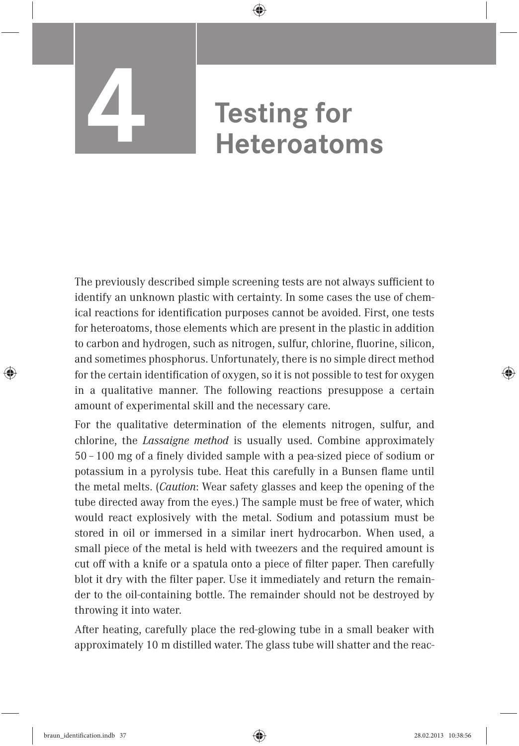## **4 Testing for Heteroatoms**

The previously described simple screening tests are not always sufficient to identify an unknown plastic with certainty. In some cases the use of chemical reactions for identification purposes cannot be avoided. First, one tests for heteroatoms, those elements which are present in the plastic in addition to carbon and hydrogen, such as nitrogen, sulfur, chlorine, fluorine, silicon, and sometimes phosphorus. Unfortunately, there is no simple direct method for the certain identification of oxygen, so it is not possible to test for oxygen in a qualitative manner. The following reactions presuppose a certain amount of experimental skill and the necessary care.

For the qualitative determination of the elements nitrogen, sulfur, and chlorine, the *Lassaigne method* is usually used. Combine approximately 50 – 100 mg of a fi nely divided sample with a pea-sized piece of sodium or potassium in a pyrolysis tube. Heat this carefully in a Bunsen flame until the metal melts. (*Caution*: Wear safety glasses and keep the opening of the tube directed away from the eyes.) The sample must be free of water, which would react explosively with the metal. Sodium and potassium must be stored in oil or immersed in a similar inert hydrocarbon. When used, a small piece of the metal is held with tweezers and the required amount is cut off with a knife or a spatula onto a piece of filter paper. Then carefully blot it dry with the filter paper. Use it immediately and return the remainder to the oil-containing bottle. The remainder should not be destroyed by throwing it into water.

After heating, carefully place the red-glowing tube in a small beaker with approximately 10 m distilled water. The glass tube will shatter and the reac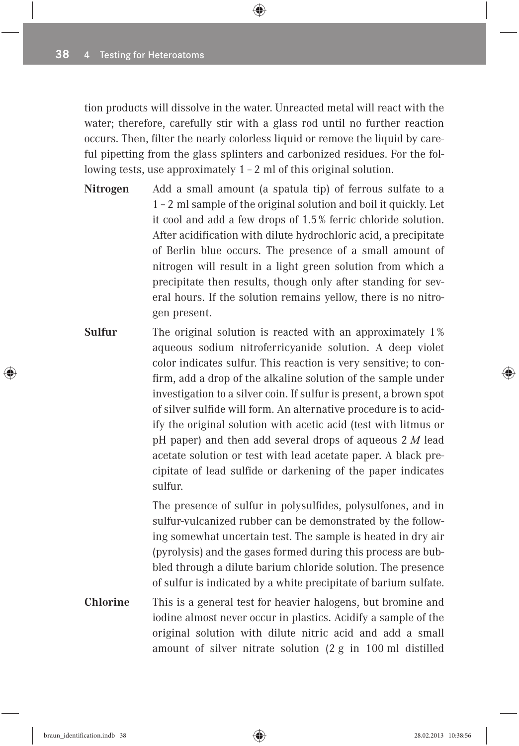tion products will dissolve in the water. Unreacted metal will react with the water; therefore, carefully stir with a glass rod until no further reaction occurs. Then, filter the nearly colorless liquid or remove the liquid by careful pipetting from the glass splinters and carbonized residues. For the following tests, use approximately 1 – 2 ml of this original solution.

- **Nitrogen** Add a small amount (a spatula tip) of ferrous sulfate to a 1 – 2 ml sample of the original solution and boil it quickly. Let it cool and add a few drops of 1.5 % ferric chloride solution. After acidification with dilute hydrochloric acid, a precipitate of Berlin blue occurs. The presence of a small amount of nitrogen will result in a light green solution from which a precipitate then results, though only after standing for several hours. If the solution remains yellow, there is no nitrogen present.
- **Sulfur** The original solution is reacted with an approximately 1<sup>%</sup> aqueous sodium nitroferricyanide solution. A deep violet color indicates sulfur. This reaction is very sensitive; to confirm, add a drop of the alkaline solution of the sample under investigation to a silver coin. If sulfur is present, a brown spot of silver sulfide will form. An alternative procedure is to acidify the original solution with acetic acid (test with litmus or pH paper) and then add several drops of aqueous 2 *M* lead acetate solution or test with lead acetate paper. A black precipitate of lead sulfide or darkening of the paper indicates sulfur.

The presence of sulfur in polysulfides, polysulfones, and in sulfur-vulcanized rubber can be demonstrated by the following somewhat uncertain test. The sample is heated in dry air (pyrolysis) and the gases formed during this process are bubbled through a dilute barium chloride solution. The presence of sulfur is indicated by a white precipitate of barium sulfate.

**Chlorine** This is a general test for heavier halogens, but bromine and iodine almost never occur in plastics. Acidify a sample of the original solution with dilute nitric acid and add a small amount of silver nitrate solution (2 g in 100 ml distilled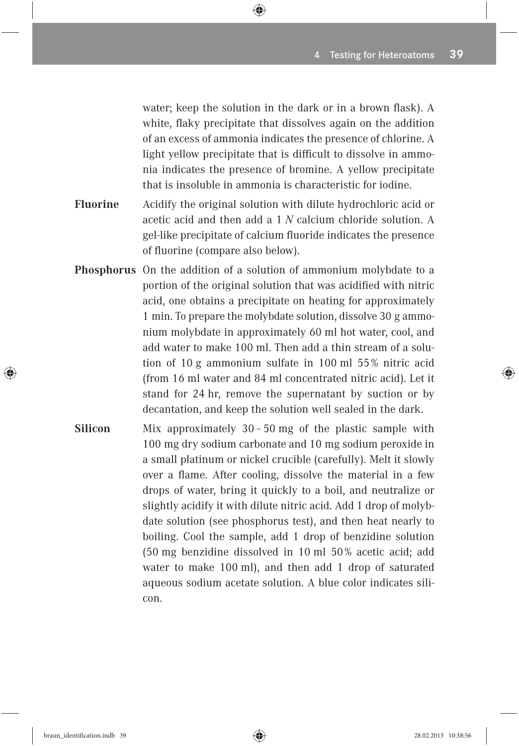water; keep the solution in the dark or in a brown flask). A white, flaky precipitate that dissolves again on the addition of an excess of ammonia indicates the presence of chlorine. A light yellow precipitate that is difficult to dissolve in ammonia indicates the presence of bromine . A yellow precipitate that is insoluble in ammonia is characteristic for iodine.

- **Fluorine** Acidify the original solution with dilute hydrochloric acid or acetic acid and then add a 1 *N* calcium chloride solution. A gel-like precipitate of calcium fluoride indicates the presence of fluorine (compare also below).
- **Phosphorus** On the addition of a solution of ammonium molybdate to a portion of the original solution that was acidified with nitric acid, one obtains a precipitate on heating for approximately 1 min. To prepare the molybdate solution, dissolve 30 g ammonium molybdate in approximately 60 ml hot water, cool, and add water to make 100 ml. Then add a thin stream of a solution of 10 g ammonium sulfate in 100 ml 55 % nitric acid (from 16 ml water and 84 ml concentrated nitric acid). Let it stand for 24 hr, remove the supernatant by suction or by decantation, and keep the solution well sealed in the dark.
- **Silicon** Mix approximately 30 – 50 mg of the plastic sample with 100 mg dry sodium carbonate and 10 mg sodium peroxide in a small platinum or nickel crucible (carefully). Melt it slowly over a flame. After cooling, dissolve the material in a few drops of water, bring it quickly to a boil, and neutralize or slightly acidify it with dilute nitric acid. Add 1 drop of molybdate solution (see phosphorus test), and then heat nearly to boiling. Cool the sample, add 1 drop of benzidine solution (50 mg benzidine dissolved in 10 ml 50 % acetic acid; add water to make 100 ml), and then add 1 drop of saturated aqueous sodium acetate solution. A blue color indicates silicon.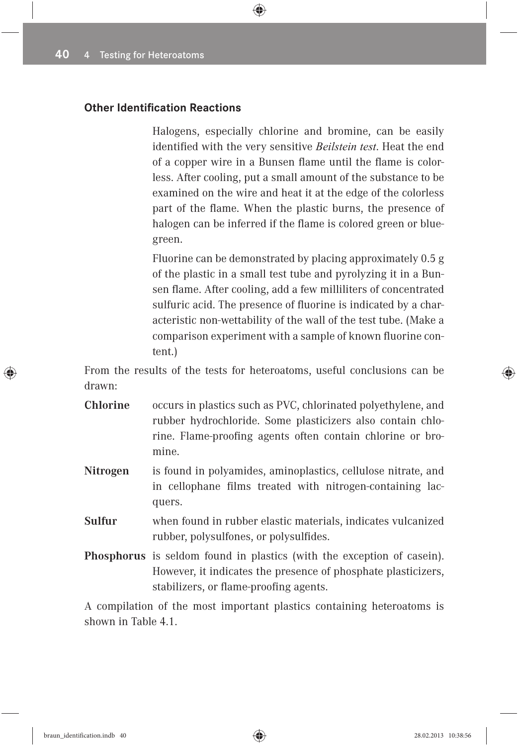#### **Other Identification Reactions**

Halogens, especially chlorine and bromine, can be easily identified with the very sensitive *Beilstein test*. Heat the end of a copper wire in a Bunsen flame until the flame is colorless. After cooling, put a small amount of the substance to be examined on the wire and heat it at the edge of the colorless part of the flame. When the plastic burns, the presence of halogen can be inferred if the flame is colored green or bluegreen.

Fluorine can be demonstrated by placing approximately 0.5 g of the plastic in a small test tube and pyrolyzing it in a Bunsen flame. After cooling, add a few milliliters of concentrated sulfuric acid. The presence of fluorine is indicated by a characteristic non-wettability of the wall of the test tube. (Make a comparison experiment with a sample of known fluorine content.)

From the results of the tests for heteroatoms, useful conclusions can be drawn:

- **Chlorine** occurs in plastics such as PVC, chlorinated polyethylene, and rubber hydrochloride. Some plasticizers also contain chlorine. Flame-proofing agents often contain chlorine or bromine.
- **Nitrogen** is found in polyamides, aminoplastics, cellulose nitrate, and in cellophane films treated with nitrogen-containing lacquers.
- **Sulfur** when found in rubber elastic materials, indicates vulcanized rubber, polysulfones, or polysulfides.
- **Phosphorus** is seldom found in plastics (with the exception of casein). However, it indicates the presence of phosphate plasticizers, stabilizers, or flame-proofing agents.

A compilation of the most important plastics containing heteroatoms is shown in Table 4.1.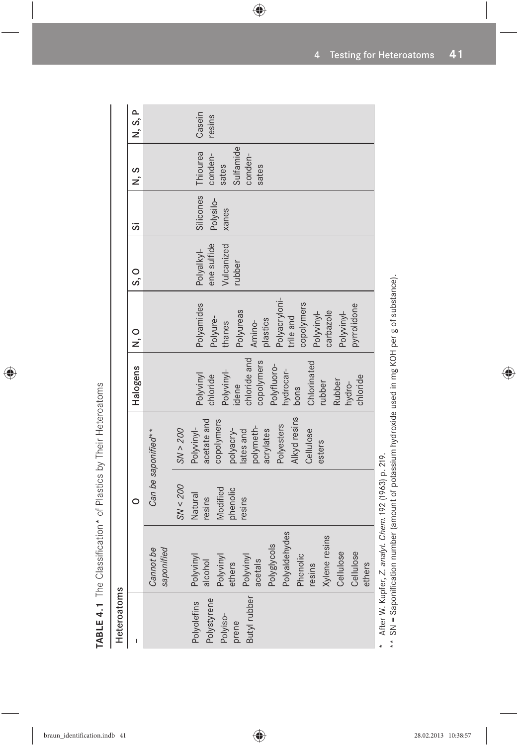|             | N, S, P  |                                                                                                                                                                         | Casein<br>resins                                                                                                                                                               |  |  |  |  |
|-------------|----------|-------------------------------------------------------------------------------------------------------------------------------------------------------------------------|--------------------------------------------------------------------------------------------------------------------------------------------------------------------------------|--|--|--|--|
|             | s<br>Si  |                                                                                                                                                                         | Sulfamide<br>Thiourea<br>conden-<br>conden-<br>sates<br>sates                                                                                                                  |  |  |  |  |
|             | öδ       |                                                                                                                                                                         | Silicones<br>Polysilo-<br>xanes                                                                                                                                                |  |  |  |  |
|             | ဝ<br>ທົ  |                                                                                                                                                                         | ene sulfide<br>Vulcanized<br>Polyalkyl-<br>rubber                                                                                                                              |  |  |  |  |
|             | o<br>z   |                                                                                                                                                                         | Polyacryloni-<br>Polyamides<br>copolymers<br>oyrrolidone<br>Polyureas<br>carbazole<br>Polyvinyl-<br>Polyvinyl-<br>trile and<br>plastics<br>Polyure-<br>Amino-<br>thanes        |  |  |  |  |
|             | Halogens | chloride and<br>copolymers<br>Chlorinated<br>Polyfluoro-<br>hydrocar-<br>Polyvinyl-<br>Polyvinyl<br>chloride<br>hydro-<br>chloride<br>Rubber<br>idene<br>rubber<br>bons |                                                                                                                                                                                |  |  |  |  |
|             | $\circ$  | Can be saponified**                                                                                                                                                     | Alkyd resins<br>acetate and<br>copolymers<br>Polyesters<br>polymeth-<br>SN > 200<br>Polyvinyl-<br>acrylates<br>polyacry-<br>lates and<br>Cellulose<br>esters                   |  |  |  |  |
|             |          |                                                                                                                                                                         | SN < 200<br>Modified<br>ohenolic<br>Natural<br>resins<br>esins                                                                                                                 |  |  |  |  |
|             |          | Cannot be<br>saponified                                                                                                                                                 | Polyaldehydes<br>Xylene resins<br>Polyglycols<br>Cellulose<br>Cellulose<br>Polyvinyl<br>Phenolic<br>Polyvinyl<br>Polyvinyl<br>acetals<br>alcohol<br>ethers<br>resins<br>ethers |  |  |  |  |
| Heteroatoms | I        |                                                                                                                                                                         | Butyl rubber<br>Polyolefins<br>Polystyrene<br>Polyiso-<br>prene                                                                                                                |  |  |  |  |

TABLE 4.1 The Classification\* of Plastics by Their Heteroatoms **TABLE 4.1** The Classification\* of Plastics by Their Heteroatoms ï

SN = Saponification number (amount of potassium hydroxide used in mg KOH per g of substance). \*\* SN = Saponifi cation number (amount of potassium hydroxide used in mg KOH per g of substance). After W. Kupfer, Z. analyt. Chem. 192 (1963) p. 219. \* A er W. Kupfer, *Z. analyt. Chem.* 192 (1963) p. 219.  $*$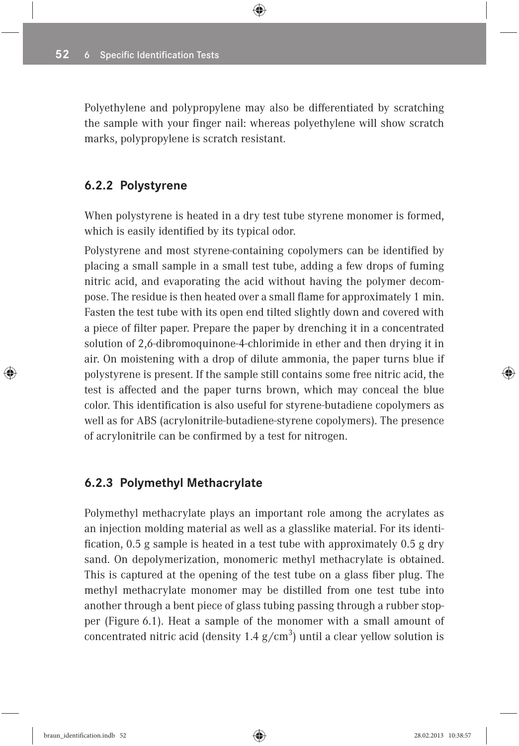Polyethylene and polypropylene may also be differentiated by scratching the sample with your finger nail: whereas polyethylene will show scratch marks, polypropylene is scratch resistant.

#### **6.2.2 Polystyrene**

When polystyrene is heated in a dry test tube styrene monomer is formed, which is easily identified by its typical odor.

Polystyrene and most styrene-containing copolymers can be identified by placing a small sample in a small test tube, adding a few drops of fuming nitric acid, and evaporating the acid without having the polymer decompose. The residue is then heated over a small flame for approximately 1 min. Fasten the test tube with its open end tilted slightly down and covered with a piece of filter paper. Prepare the paper by drenching it in a concentrated solution of 2,6-dibromoquinone-4-chlorimide in ether and then drying it in air. On moistening with a drop of dilute ammonia, the paper turns blue if polystyrene is present. If the sample still contains some free nitric acid, the test is affected and the paper turns brown, which may conceal the blue color. This identification is also useful for styrene-butadiene copolymers as well as for ABS (acrylonitrile-butadiene-styrene copolymers). The presence of acrylonitrile can be confirmed by a test for nitrogen.

#### **6.2.3 Polymethyl Methacrylate**

Polymethyl methacrylate plays an important role among the acrylates as an injection molding material as well as a glasslike material. For its identification,  $0.5$  g sample is heated in a test tube with approximately  $0.5$  g dry sand. On depolymerization, monomeric methyl methacrylate is obtained. This is captured at the opening of the test tube on a glass fiber plug. The methyl methacrylate monomer may be distilled from one test tube into another through a bent piece of glass tubing passing through a rubber stopper (Figure 6.1). Heat a sample of the monomer with a small amount of concentrated nitric acid (density  $1.4 \text{ g/cm}^3$ ) until a clear yellow solution is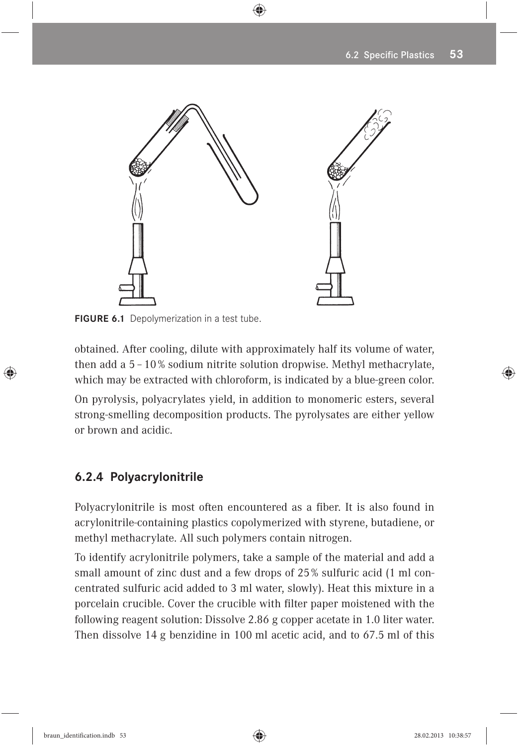

**FIGURE 6.1**  Depolymerization in a test tube.

obtained. After cooling, dilute with approximately half its volume of water, then add a 5 – 10 % sodium nitrite solution dropwise. Methyl methacrylate, which may be extracted with chloroform, is indicated by a blue-green color.

On pyrolysis, polyacrylates yield, in addition to monomeric esters, several strong-smelling decomposition products. The pyrolysates are either yellow or brown and acidic.

### **6.2.4 Polyacrylonitrile**

Polyacrylonitrile is most often encountered as a fiber. It is also found in acrylonitrile-containing plastics copolymerized with styrene, butadiene, or methyl methacrylate. All such polymers contain nitrogen.

To identify acrylonitrile polymers, take a sample of the material and add a small amount of zinc dust and a few drops of 25 % sulfuric acid (1 ml concentrated sulfuric acid added to 3 ml water, slowly). Heat this mixture in a porcelain crucible. Cover the crucible with filter paper moistened with the following reagent solution: Dissolve 2.86 g copper acetate in 1.0 liter water. Then dissolve 14 g benzidine in 100 ml acetic acid, and to 67.5 ml of this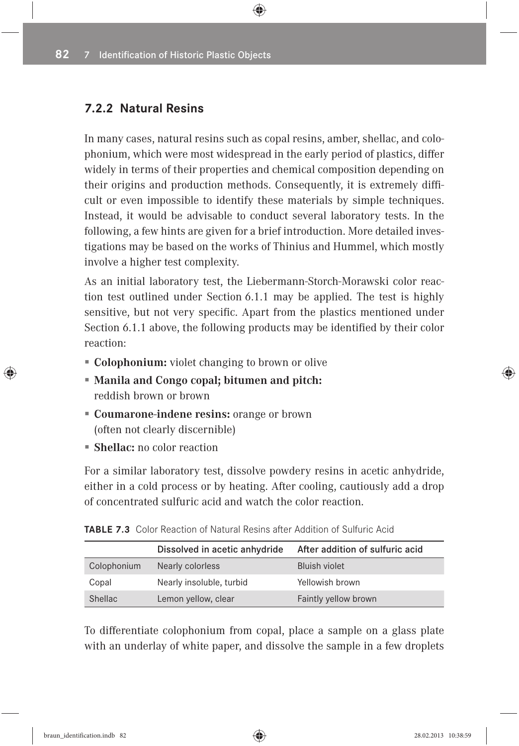#### **7.2.2 Natural Resins**

In many cases, natural resins such as copal resins, amber, shellac, and colophonium, which were most widespread in the early period of plastics, differ widely in terms of their properties and chemical composition depending on their origins and production methods. Consequently, it is extremely difficult or even impossible to identify these materials by simple techniques. Instead, it would be advisable to conduct several laboratory tests. In the following, a few hints are given for a brief introduction. More detailed investigations may be based on the works of Thinius and Hummel, which mostly involve a higher test complexity.

As an initial laboratory test, the Liebermann-Storch-Morawski color reaction test outlined under Section 6.1.1 may be applied. The test is highly sensitive, but not very specific. Apart from the plastics mentioned under Section 6.1.1 above, the following products may be identified by their color reaction:

- **Colophonium:** violet changing to brown or olive
- **Manila and Congo copal; bitumen and pitch:** reddish brown or brown
- **Coumarone-indene resins:** orange or brown (often not clearly discernible)
- **Shellac:** no color reaction

For a similar laboratory test, dissolve powdery resins in acetic anhydride, either in a cold process or by heating. After cooling, cautiously add a drop of concentrated sulfuric acid and watch the color reaction.

|                | Dissolved in acetic anhydride | After addition of sulfuric acid |
|----------------|-------------------------------|---------------------------------|
| Colophonium    | Nearly colorless              | Bluish violet                   |
| Copal          | Nearly insoluble, turbid      | Yellowish brown                 |
| <b>Shellac</b> | Lemon yellow, clear           | Faintly yellow brown            |

| <b>TABLE 7.3</b> Color Reaction of Natural Resins after Addition of Sulfuric Acid |
|-----------------------------------------------------------------------------------|
|-----------------------------------------------------------------------------------|

To differentiate colophonium from copal, place a sample on a glass plate with an underlay of white paper, and dissolve the sample in a few droplets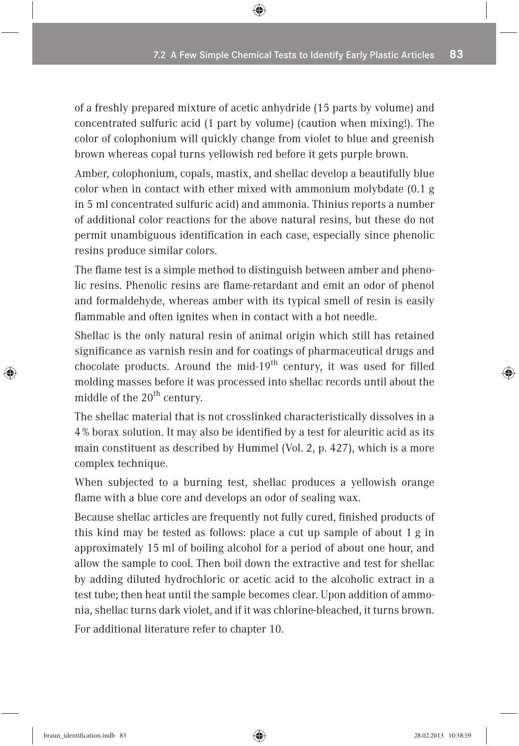of a freshly prepared mixture of acetic anhydride (15 parts by volume) and concentrated sulfuric acid (1 part by volume) (caution when mixing!). The color of colophonium will quickly change from violet to blue and greenish brown whereas copal turns yellowish red before it gets purple brown.

 Amber, colophonium, copals, mastix, and shellac develop a beautifully blue color when in contact with ether mixed with ammonium molybdate (0.1 g in 5 ml concentrated sulfuric acid) and ammonia. Thinius reports a number of additional color reactions for the above natural resins, but these do not permit unambiguous identification in each case, especially since phenolic resins produce similar colors.

The flame test is a simple method to distinguish between amber and phenolic resins. Phenolic resins are flame-retardant and emit an odor of phenol and formaldehyde, whereas amber with its typical smell of resin is easily flammable and often ignites when in contact with a hot needle.

Shellac is the only natural resin of animal origin which still has retained significance as varnish resin and for coatings of pharmaceutical drugs and chocolate products. Around the mid-19<sup>th</sup> century, it was used for filled molding masses before it was processed into shellac records until about the middle of the  $20<sup>th</sup>$  century.

The shellac material that is not crosslinked characteristically dissolves in a 4% borax solution. It may also be identified by a test for aleuritic acid as its main constituent as described by Hummel (Vol. 2, p. 427), which is a more complex technique.

When subjected to a burning test, shellac produces a yellowish orange flame with a blue core and develops an odor of sealing wax.

Because shellac articles are frequently not fully cured, finished products of this kind may be tested as follows: place a cut up sample of about 1 g in approximately 15 ml of boiling alcohol for a period of about one hour, and allow the sample to cool. Then boil down the extractive and test for shellac by adding diluted hydrochloric or acetic acid to the alcoholic extract in a test tube; then heat until the sample becomes clear. Upon addition of ammonia, shellac turns dark violet, and if it was chlorine-bleached, it turns brown. For additional literature refer to chapter 10.